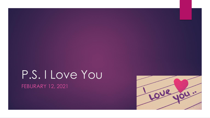# P.S. I Love You FEBURARY 12, 2021

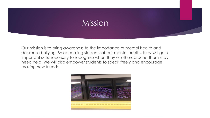## Mission

Our mission is to bring awareness to the importance of mental health and decrease bullying. By educating students about mental health, they will gain important skills necessary to recognize when they or others around them may need help. We will also empower students to speak freely and encourage making new friends.

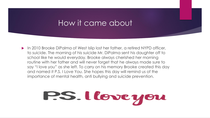### How it came about

 In 2010 Brooke DiPalma of West Islip lost her father, a retired NYPD officer, to suicide. The morning of his suicide Mr. DiPalma sent his daughter off to school like he would everyday. Brooke always cherished her morning routine with her father and will never forget that he always made sure to say "I love you" as she left. To carry on his memory Brooke created this day and named it P.S. I Love You. She hopes this day will remind us of the importance of mental health, anti bullying and suicide prevention.

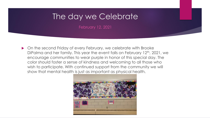## The day we Celebrate

February 12, 2021

▶ On the second Friday of every February, we celebrate with Brooke DiPalma and her family. This year the event falls on February 12<sup>th</sup>, 2021, we encourage communities to wear purple in honor of this special day. The color should foster a sense of kindness and welcoming to all those who wish to participate. With continued support from the community we will show that mental health is just as important as physical health.

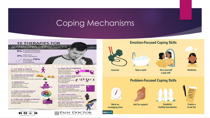## Coping Mechanisms

### **10 THERAPIES FOR MANAGING DEPRESSION**

9% of people experience a depressive episode

3% experience<br>3% major depression

Women are 70% more likely to be affected

**1. GO FOR A WALK** Research shows that exercise is one of the best ways to manage depression

#### **2. CHANGE YOUR DIET**

Eat a balanced diet, with many antioxidant-rich foods, like berries and red and orange vegetables

#### **3. MEDITATE**

Just 30 minutes of daily meditation can reduce symptoms of depression and anxiety

**4. TAKE YOUR VITAMINS** Supplementing with folic acid, St. John's wort, and B vitamins may help treat or prevent depression

**5. TURN OFF YOUR SCREENS** Using computers at night is linked to arise in the risk of depression among adults



#### **6. VISIT WITH FRIENDS**

From face-to-face visits to online forums, there are ways to find social support

**7. GET SOME SUPPORT (THERAPY OR A GROUP)** Talk therapy has proven to be as effective for treating depression for some people as medication

ĸ,

#### **8. TALK TO YOUR DOCTOR ABOUT MEDICATION**

For more severe cases, prescription medications can be a powerful tool in the fight against depression

#### **9. STAY FOCUSED**

Research shows that continuing to work during a depressive episode actually has more benefits than taking time off

**10. TRY TO STAY HOPEFUL** Sometimes learning, or even faking, a bit of optimism has been shown to help manage depression

### **Emotion-Focused Coping Skills**



**Exercise** 

**Work on** 

managing time

verywell



**Take a bath** 





**Give yourself** a pep talk

**Meditate** 

### **Problem-Focused Coping Skills**





Ask for support





**Establish** healthy boundaries



to-do list



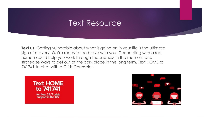### Text Resource

**Text us.** Getting vulnerable about what is going on in your life is the ultimate sign of bravery. We're ready to be brave with you. Connecting with a real human could help you work through the sadness in the moment and strategize ways to get out of the dark place in the long term. Text HOME to 741741 to chat with a Crisis Counselor.